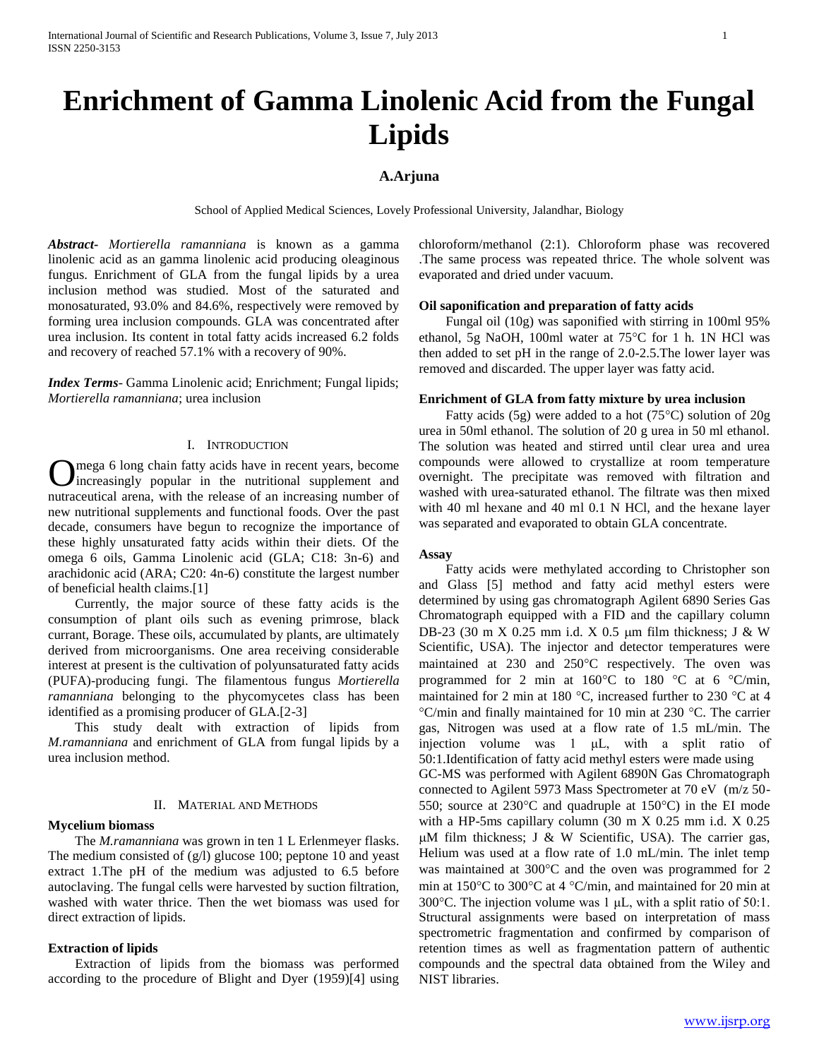# **Enrichment of Gamma Linolenic Acid from the Fungal Lipids**

# **A.Arjuna**

School of Applied Medical Sciences, Lovely Professional University, Jalandhar, Biology

*Abstract***-** *Mortierella ramanniana* is known as a gamma linolenic acid as an gamma linolenic acid producing oleaginous fungus. Enrichment of GLA from the fungal lipids by a urea inclusion method was studied. Most of the saturated and monosaturated, 93.0% and 84.6%, respectively were removed by forming urea inclusion compounds. GLA was concentrated after urea inclusion. Its content in total fatty acids increased 6.2 folds and recovery of reached 57.1% with a recovery of 90%.

*Index Terms*- Gamma Linolenic acid; Enrichment; Fungal lipids; *Mortierella ramanniana*; urea inclusion

# I. INTRODUCTION

mega 6 long chain fatty acids have in recent years, become Omega 6 long chain fatty acids have in recent years, become increasingly popular in the nutritional supplement and nutraceutical arena, with the release of an increasing number of new nutritional supplements and functional foods. Over the past decade, consumers have begun to recognize the importance of these highly unsaturated fatty acids within their diets. Of the omega 6 oils, Gamma Linolenic acid (GLA; C18: 3n-6) and arachidonic acid (ARA; C20: 4n-6) constitute the largest number of beneficial health claims.[1]

 Currently, the major source of these fatty acids is the consumption of plant oils such as evening primrose, black currant, Borage. These oils, accumulated by plants, are ultimately derived from microorganisms. One area receiving considerable interest at present is the cultivation of polyunsaturated fatty acids (PUFA)-producing fungi. The filamentous fungus *Mortierella ramanniana* belonging to the phycomycetes class has been identified as a promising producer of GLA.[2-3]

 This study dealt with extraction of lipids from *M.ramanniana* and enrichment of GLA from fungal lipids by a urea inclusion method.

## II. MATERIAL AND METHODS

# **Mycelium biomass**

 The *M.ramanniana* was grown in ten 1 L Erlenmeyer flasks. The medium consisted of (g/l) glucose 100; peptone 10 and yeast extract 1.The pH of the medium was adjusted to 6.5 before autoclaving. The fungal cells were harvested by suction filtration, washed with water thrice. Then the wet biomass was used for direct extraction of lipids.

#### **Extraction of lipids**

 Extraction of lipids from the biomass was performed according to the procedure of Blight and Dyer (1959)[4] using chloroform/methanol (2:1). Chloroform phase was recovered .The same process was repeated thrice. The whole solvent was evaporated and dried under vacuum.

### **Oil saponification and preparation of fatty acids**

 Fungal oil (10g) was saponified with stirring in 100ml 95% ethanol, 5g NaOH, 100ml water at 75°C for 1 h. 1N HCl was then added to set pH in the range of 2.0-2.5.The lower layer was removed and discarded. The upper layer was fatty acid.

#### **Enrichment of GLA from fatty mixture by urea inclusion**

Fatty acids (5g) were added to a hot (75 $\degree$ C) solution of 20g urea in 50ml ethanol. The solution of 20 g urea in 50 ml ethanol. The solution was heated and stirred until clear urea and urea compounds were allowed to crystallize at room temperature overnight. The precipitate was removed with filtration and washed with urea-saturated ethanol. The filtrate was then mixed with 40 ml hexane and 40 ml 0.1 N HCl, and the hexane layer was separated and evaporated to obtain GLA concentrate.

#### **Assay**

 Fatty acids were methylated according to Christopher son and Glass [5] method and fatty acid methyl esters were determined by using gas chromatograph Agilent 6890 Series Gas Chromatograph equipped with a FID and the capillary column DB-23 (30 m X 0.25 mm i.d. X 0.5  $\mu$ m film thickness; J & W Scientific, USA). The injector and detector temperatures were maintained at 230 and 250°C respectively. The oven was programmed for 2 min at  $160^{\circ}$ C to  $180^{\circ}$ C at 6  $^{\circ}$ C/min, maintained for 2 min at 180 °C, increased further to 230 °C at 4  $\degree$ C/min and finally maintained for 10 min at 230  $\degree$ C. The carrier gas, Nitrogen was used at a flow rate of 1.5 mL/min. The injection volume was 1 μL, with a split ratio of 50:1.Identification of fatty acid methyl esters were made using GC-MS was performed with Agilent 6890N Gas Chromatograph connected to Agilent 5973 Mass Spectrometer at 70 eV (m/z 50- 550; source at  $230^{\circ}$ C and quadruple at  $150^{\circ}$ C) in the EI mode with a HP-5ms capillary column (30 m X 0.25 mm i.d. X 0.25  $\mu$ M film thickness; J & W Scientific, USA). The carrier gas, Helium was used at a flow rate of 1.0 mL/min. The inlet temp was maintained at  $300^{\circ}$ C and the oven was programmed for 2 min at 150 $\degree$ C to 300 $\degree$ C at 4  $\degree$ C/min, and maintained for 20 min at 300 $^{\circ}$ C. The injection volume was 1  $\mu$ L, with a split ratio of 50:1. Structural assignments were based on interpretation of mass spectrometric fragmentation and confirmed by comparison of retention times as well as fragmentation pattern of authentic compounds and the spectral data obtained from the Wiley and NIST libraries.